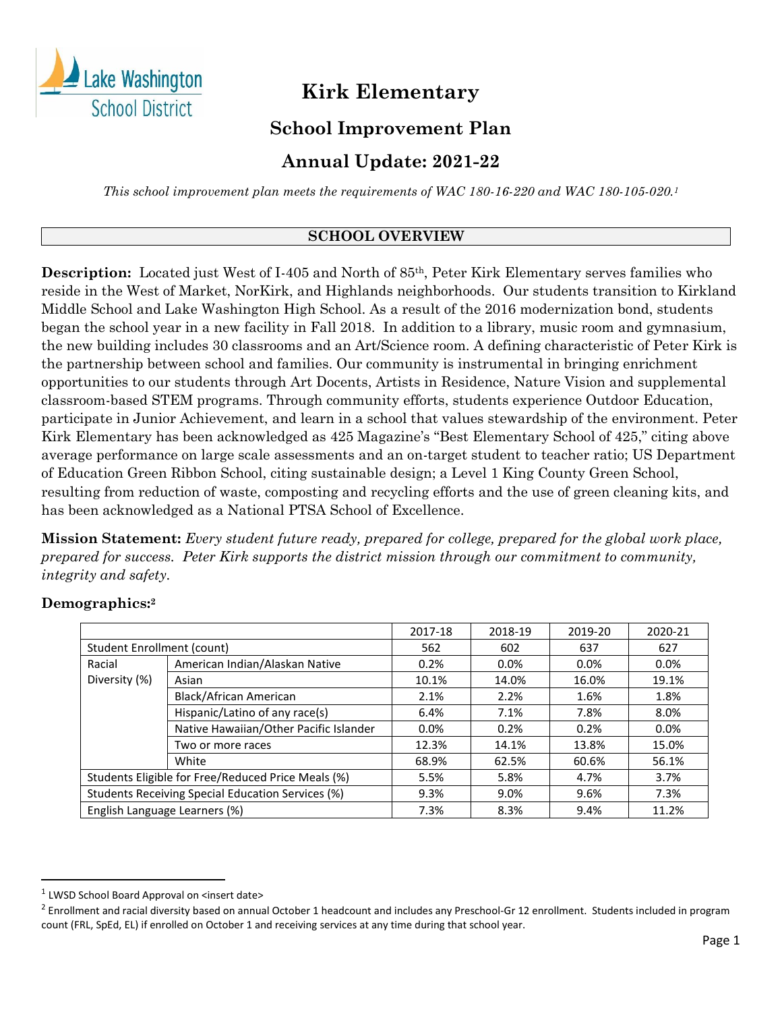

# **Kirk Elementary**

### **School Improvement Plan**

## **Annual Update: 2021-22**

*This school improvement plan meets the requirements of WAC 180-16-220 and WAC 180-105-020.<sup>1</sup>*

### **SCHOOL OVERVIEW**

**Description:** Located just West of I-405 and North of 85th, Peter Kirk Elementary serves families who reside in the West of Market, NorKirk, and Highlands neighborhoods. Our students transition to Kirkland Middle School and Lake Washington High School. As a result of the 2016 modernization bond, students began the school year in a new facility in Fall 2018. In addition to a library, music room and gymnasium, the new building includes 30 classrooms and an Art/Science room. A defining characteristic of Peter Kirk is the partnership between school and families. Our community is instrumental in bringing enrichment opportunities to our students through Art Docents, Artists in Residence, Nature Vision and supplemental classroom-based STEM programs. Through community efforts, students experience Outdoor Education, participate in Junior Achievement, and learn in a school that values stewardship of the environment. Peter Kirk Elementary has been acknowledged as 425 Magazine's "Best Elementary School of 425," citing above average performance on large scale assessments and an on-target student to teacher ratio; US Department of Education Green Ribbon School, citing sustainable design; a Level 1 King County Green School, resulting from reduction of waste, composting and recycling efforts and the use of green cleaning kits, and has been acknowledged as a National PTSA School of Excellence.

**Mission Statement:** *Every student future ready, prepared for college, prepared for the global work place, prepared for success. Peter Kirk supports the district mission through our commitment to community, integrity and safety.* 

# **Demographics:<sup>2</sup>**

|                                                    |                                        | 2017-18 | 2018-19 | 2019-20 | 2020-21 |
|----------------------------------------------------|----------------------------------------|---------|---------|---------|---------|
| Student Enrollment (count)                         |                                        | 562     | 602     | 637     | 627     |
| Racial                                             | American Indian/Alaskan Native         | 0.2%    | 0.0%    | $0.0\%$ | $0.0\%$ |
| Diversity (%)                                      | Asian                                  | 10.1%   | 14.0%   | 16.0%   | 19.1%   |
|                                                    | Black/African American                 | 2.1%    | 2.2%    | 1.6%    | 1.8%    |
|                                                    | Hispanic/Latino of any race(s)         | 6.4%    | 7.1%    | 7.8%    | 8.0%    |
|                                                    | Native Hawaiian/Other Pacific Islander | 0.0%    | 0.2%    | 0.2%    | $0.0\%$ |
|                                                    | Two or more races                      | 12.3%   | 14.1%   | 13.8%   | 15.0%   |
|                                                    | White                                  | 68.9%   | 62.5%   | 60.6%   | 56.1%   |
| Students Eligible for Free/Reduced Price Meals (%) |                                        | 5.5%    | 5.8%    | 4.7%    | 3.7%    |
| Students Receiving Special Education Services (%)  |                                        | 9.3%    | 9.0%    | 9.6%    | 7.3%    |
| English Language Learners (%)                      |                                        | 7.3%    | 8.3%    | 9.4%    | 11.2%   |

<sup>&</sup>lt;sup>1</sup> LWSD School Board Approval on <insert date>

 $^2$  Enrollment and racial diversity based on annual October 1 headcount and includes any Preschool-Gr 12 enrollment. Students included in program count (FRL, SpEd, EL) if enrolled on October 1 and receiving services at any time during that school year.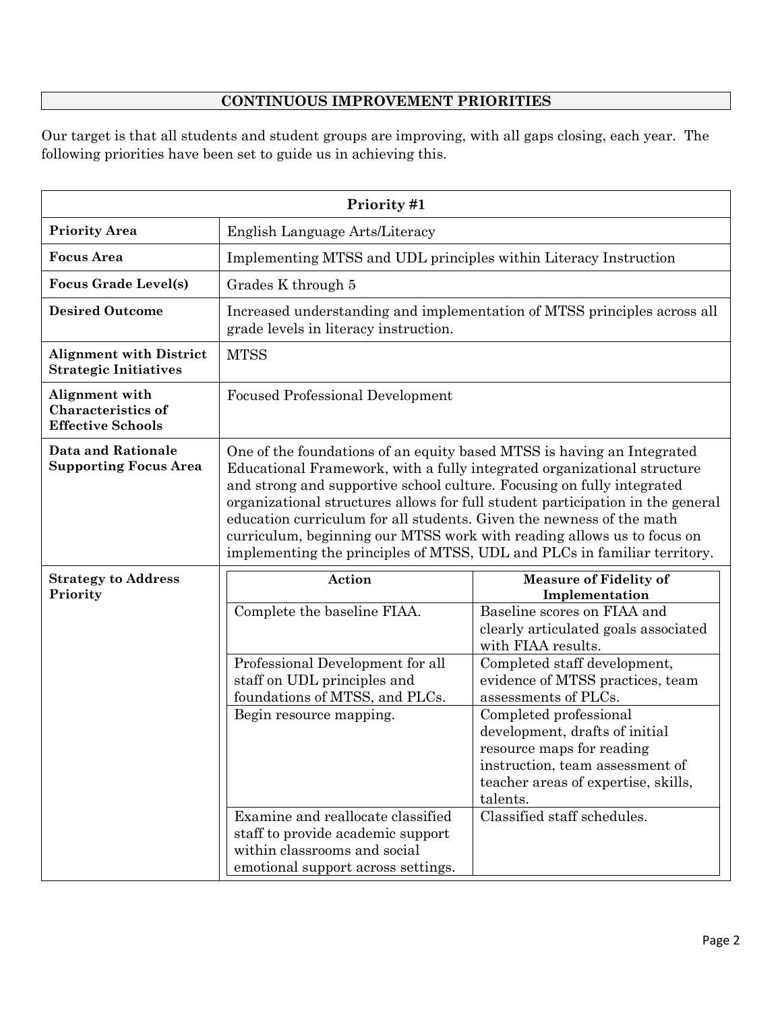### **CONTINUOUS IMPROVEMENT PRIORITIES**

Our target is that all students and student groups are improving, with all gaps closing, each year. The following priorities have been set to guide us in achieving this.

| Priority #1                                                             |                                                                                                                                                                                                                                                                                                                                                                                                                                                                                                                                             |                                                                                                                                                                                                                                                                                                                                                                                                                                                        |  |
|-------------------------------------------------------------------------|---------------------------------------------------------------------------------------------------------------------------------------------------------------------------------------------------------------------------------------------------------------------------------------------------------------------------------------------------------------------------------------------------------------------------------------------------------------------------------------------------------------------------------------------|--------------------------------------------------------------------------------------------------------------------------------------------------------------------------------------------------------------------------------------------------------------------------------------------------------------------------------------------------------------------------------------------------------------------------------------------------------|--|
| <b>Priority Area</b>                                                    | English Language Arts/Literacy                                                                                                                                                                                                                                                                                                                                                                                                                                                                                                              |                                                                                                                                                                                                                                                                                                                                                                                                                                                        |  |
| <b>Focus Area</b>                                                       | Implementing MTSS and UDL principles within Literacy Instruction                                                                                                                                                                                                                                                                                                                                                                                                                                                                            |                                                                                                                                                                                                                                                                                                                                                                                                                                                        |  |
| <b>Focus Grade Level(s)</b>                                             | Grades K through 5                                                                                                                                                                                                                                                                                                                                                                                                                                                                                                                          |                                                                                                                                                                                                                                                                                                                                                                                                                                                        |  |
| <b>Desired Outcome</b>                                                  | Increased understanding and implementation of MTSS principles across all<br>grade levels in literacy instruction.                                                                                                                                                                                                                                                                                                                                                                                                                           |                                                                                                                                                                                                                                                                                                                                                                                                                                                        |  |
| <b>Alignment with District</b><br><b>Strategic Initiatives</b>          | <b>MTSS</b>                                                                                                                                                                                                                                                                                                                                                                                                                                                                                                                                 |                                                                                                                                                                                                                                                                                                                                                                                                                                                        |  |
| Alignment with<br><b>Characteristics of</b><br><b>Effective Schools</b> | <b>Focused Professional Development</b>                                                                                                                                                                                                                                                                                                                                                                                                                                                                                                     |                                                                                                                                                                                                                                                                                                                                                                                                                                                        |  |
| <b>Data and Rationale</b><br><b>Supporting Focus Area</b>               | One of the foundations of an equity based MTSS is having an Integrated<br>Educational Framework, with a fully integrated organizational structure<br>and strong and supportive school culture. Focusing on fully integrated<br>organizational structures allows for full student participation in the general<br>education curriculum for all students. Given the newness of the math<br>curriculum, beginning our MTSS work with reading allows us to focus on<br>implementing the principles of MTSS, UDL and PLCs in familiar territory. |                                                                                                                                                                                                                                                                                                                                                                                                                                                        |  |
| <b>Strategy to Address</b><br>Priority                                  | Action<br>Complete the baseline FIAA.<br>Professional Development for all<br>staff on UDL principles and<br>foundations of MTSS, and PLCs.<br>Begin resource mapping.<br>Examine and reallocate classified<br>staff to provide academic support<br>within classrooms and social<br>emotional support across settings.                                                                                                                                                                                                                       | <b>Measure of Fidelity of</b><br>Implementation<br>Baseline scores on FIAA and<br>clearly articulated goals associated<br>with FIAA results.<br>Completed staff development,<br>evidence of MTSS practices, team<br>assessments of PLCs.<br>Completed professional<br>development, drafts of initial<br>resource maps for reading<br>instruction, team assessment of<br>teacher areas of expertise, skills,<br>talents.<br>Classified staff schedules. |  |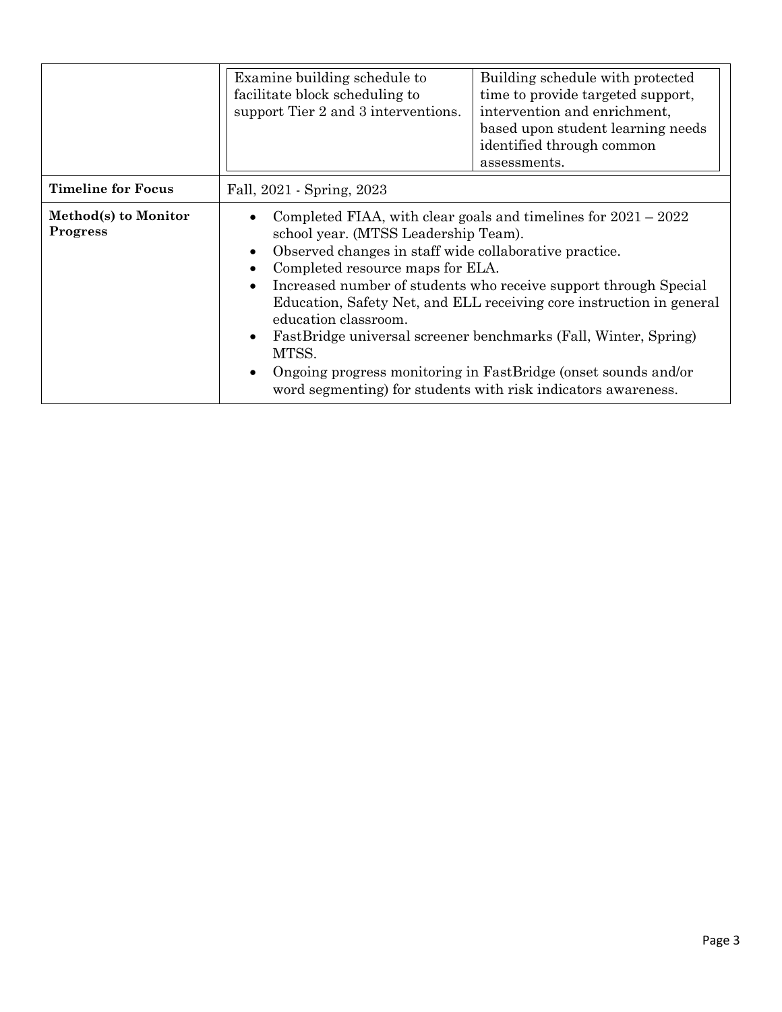|                                         | Examine building schedule to<br>facilitate block scheduling to<br>support Tier 2 and 3 interventions. | Building schedule with protected<br>time to provide targeted support,<br>intervention and enrichment,<br>based upon student learning needs<br>identified through common<br>assessments.                                                                                                                                                                                                                                                                                                                                                                  |  |
|-----------------------------------------|-------------------------------------------------------------------------------------------------------|----------------------------------------------------------------------------------------------------------------------------------------------------------------------------------------------------------------------------------------------------------------------------------------------------------------------------------------------------------------------------------------------------------------------------------------------------------------------------------------------------------------------------------------------------------|--|
| <b>Timeline for Focus</b>               | Fall, 2021 - Spring, 2023                                                                             |                                                                                                                                                                                                                                                                                                                                                                                                                                                                                                                                                          |  |
| Method(s) to Monitor<br><b>Progress</b> | education classroom.<br>MTSS.                                                                         | Completed FIAA, with clear goals and timelines for $2021 - 2022$<br>school year. (MTSS Leadership Team).<br>Observed changes in staff wide collaborative practice.<br>Completed resource maps for ELA.<br>Increased number of students who receive support through Special<br>Education, Safety Net, and ELL receiving core instruction in general<br>FastBridge universal screener benchmarks (Fall, Winter, Spring)<br>Ongoing progress monitoring in FastBridge (onset sounds and/or<br>word segmenting) for students with risk indicators awareness. |  |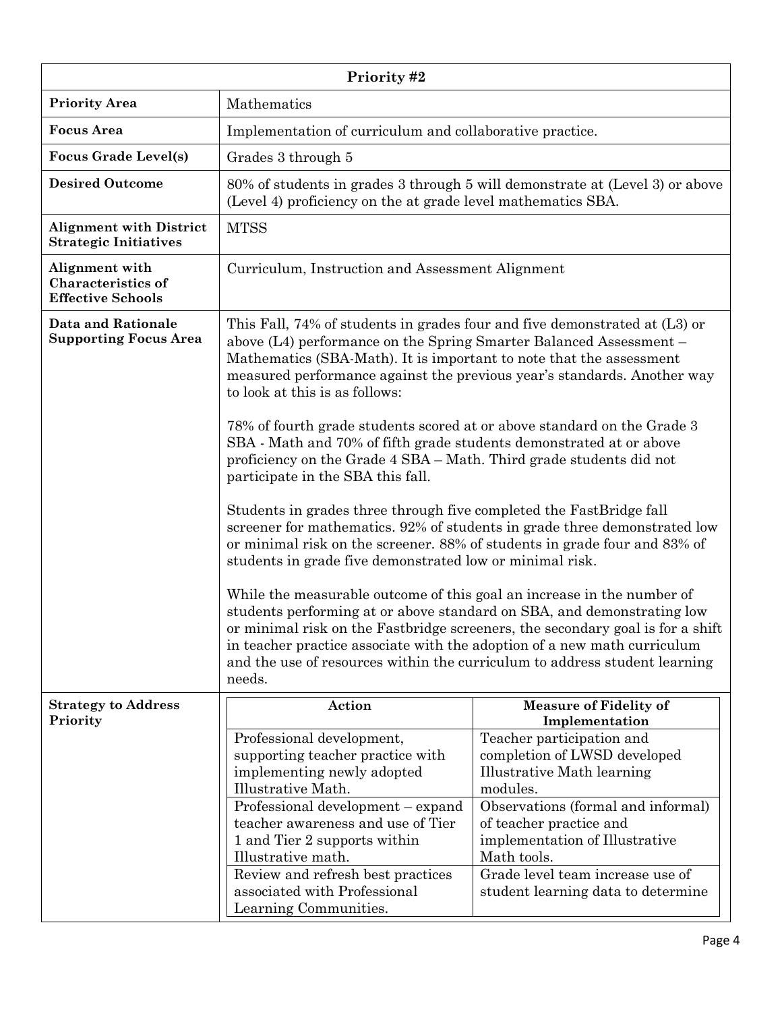| Priority #2                                                             |                                                                                                                                                                                                                                                                                                                                                                                                                                                                                                                                                                                                                                                                                                                                                                                                                                                                                                                                                                                                                                                                                                                                                                                                                                                                                                             |                                                                                                                                                                                                                                                                                                 |  |
|-------------------------------------------------------------------------|-------------------------------------------------------------------------------------------------------------------------------------------------------------------------------------------------------------------------------------------------------------------------------------------------------------------------------------------------------------------------------------------------------------------------------------------------------------------------------------------------------------------------------------------------------------------------------------------------------------------------------------------------------------------------------------------------------------------------------------------------------------------------------------------------------------------------------------------------------------------------------------------------------------------------------------------------------------------------------------------------------------------------------------------------------------------------------------------------------------------------------------------------------------------------------------------------------------------------------------------------------------------------------------------------------------|-------------------------------------------------------------------------------------------------------------------------------------------------------------------------------------------------------------------------------------------------------------------------------------------------|--|
| <b>Priority Area</b>                                                    | Mathematics                                                                                                                                                                                                                                                                                                                                                                                                                                                                                                                                                                                                                                                                                                                                                                                                                                                                                                                                                                                                                                                                                                                                                                                                                                                                                                 |                                                                                                                                                                                                                                                                                                 |  |
| <b>Focus</b> Area                                                       | Implementation of curriculum and collaborative practice.                                                                                                                                                                                                                                                                                                                                                                                                                                                                                                                                                                                                                                                                                                                                                                                                                                                                                                                                                                                                                                                                                                                                                                                                                                                    |                                                                                                                                                                                                                                                                                                 |  |
| <b>Focus Grade Level(s)</b>                                             | Grades 3 through 5                                                                                                                                                                                                                                                                                                                                                                                                                                                                                                                                                                                                                                                                                                                                                                                                                                                                                                                                                                                                                                                                                                                                                                                                                                                                                          |                                                                                                                                                                                                                                                                                                 |  |
| <b>Desired Outcome</b>                                                  | 80% of students in grades 3 through 5 will demonstrate at (Level 3) or above<br>(Level 4) proficiency on the at grade level mathematics SBA.                                                                                                                                                                                                                                                                                                                                                                                                                                                                                                                                                                                                                                                                                                                                                                                                                                                                                                                                                                                                                                                                                                                                                                |                                                                                                                                                                                                                                                                                                 |  |
| <b>Alignment with District</b><br><b>Strategic Initiatives</b>          | <b>MTSS</b>                                                                                                                                                                                                                                                                                                                                                                                                                                                                                                                                                                                                                                                                                                                                                                                                                                                                                                                                                                                                                                                                                                                                                                                                                                                                                                 |                                                                                                                                                                                                                                                                                                 |  |
| Alignment with<br><b>Characteristics of</b><br><b>Effective Schools</b> | Curriculum, Instruction and Assessment Alignment                                                                                                                                                                                                                                                                                                                                                                                                                                                                                                                                                                                                                                                                                                                                                                                                                                                                                                                                                                                                                                                                                                                                                                                                                                                            |                                                                                                                                                                                                                                                                                                 |  |
| <b>Data and Rationale</b><br><b>Supporting Focus Area</b>               | This Fall, 74% of students in grades four and five demonstrated at $(L3)$ or<br>above (L4) performance on the Spring Smarter Balanced Assessment –<br>Mathematics (SBA-Math). It is important to note that the assessment<br>measured performance against the previous year's standards. Another way<br>to look at this is as follows:<br>78% of fourth grade students scored at or above standard on the Grade 3<br>SBA - Math and 70% of fifth grade students demonstrated at or above<br>proficiency on the Grade 4 SBA – Math. Third grade students did not<br>participate in the SBA this fall.<br>Students in grades three through five completed the FastBridge fall<br>screener for mathematics. 92% of students in grade three demonstrated low<br>or minimal risk on the screener. 88% of students in grade four and 83% of<br>students in grade five demonstrated low or minimal risk.<br>While the measurable outcome of this goal an increase in the number of<br>students performing at or above standard on SBA, and demonstrating low<br>or minimal risk on the Fastbridge screeners, the secondary goal is for a shift<br>in teacher practice associate with the adoption of a new math curriculum<br>and the use of resources within the curriculum to address student learning<br>needs. |                                                                                                                                                                                                                                                                                                 |  |
| <b>Strategy to Address</b><br>Priority                                  | Action                                                                                                                                                                                                                                                                                                                                                                                                                                                                                                                                                                                                                                                                                                                                                                                                                                                                                                                                                                                                                                                                                                                                                                                                                                                                                                      | <b>Measure of Fidelity of</b><br>Implementation                                                                                                                                                                                                                                                 |  |
|                                                                         | Professional development,<br>supporting teacher practice with<br>implementing newly adopted<br>Illustrative Math.<br>Professional development – expand<br>teacher awareness and use of Tier<br>1 and Tier 2 supports within<br>Illustrative math.<br>Review and refresh best practices<br>associated with Professional<br>Learning Communities.                                                                                                                                                                                                                                                                                                                                                                                                                                                                                                                                                                                                                                                                                                                                                                                                                                                                                                                                                             | Teacher participation and<br>completion of LWSD developed<br>Illustrative Math learning<br>modules.<br>Observations (formal and informal)<br>of teacher practice and<br>implementation of Illustrative<br>Math tools.<br>Grade level team increase use of<br>student learning data to determine |  |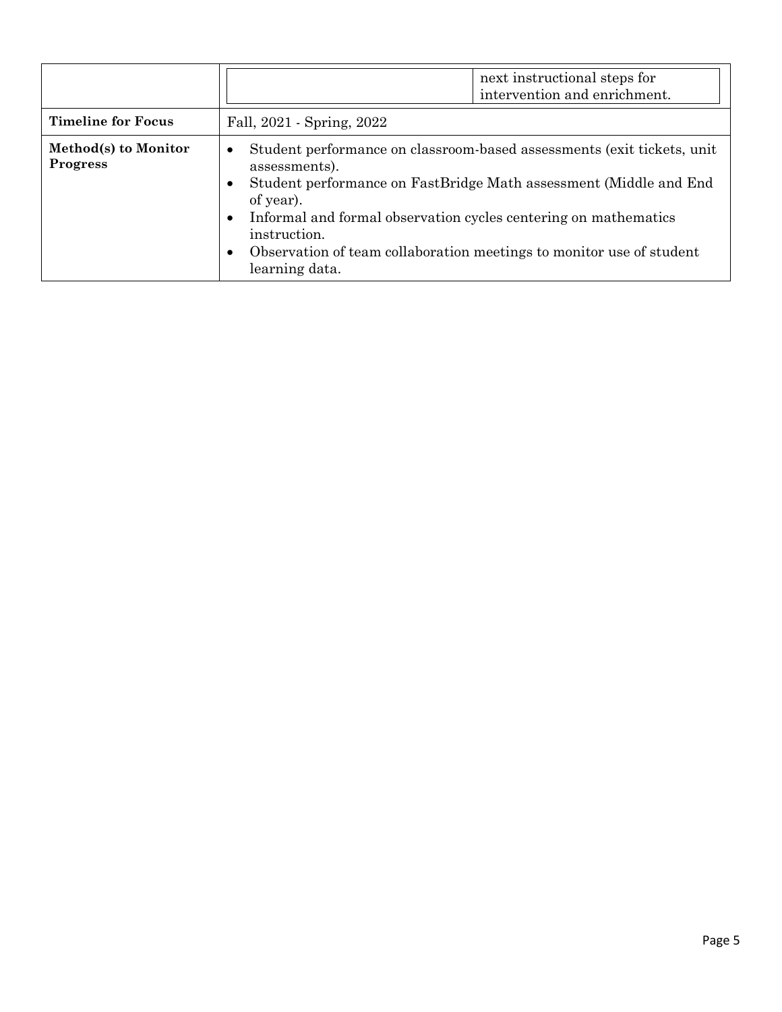|                                         | next instructional steps for<br>intervention and enrichment.                                                                                                                                                                                                                                                                                                                                               |  |
|-----------------------------------------|------------------------------------------------------------------------------------------------------------------------------------------------------------------------------------------------------------------------------------------------------------------------------------------------------------------------------------------------------------------------------------------------------------|--|
| <b>Timeline for Focus</b>               | Fall, 2021 - Spring, 2022                                                                                                                                                                                                                                                                                                                                                                                  |  |
| Method(s) to Monitor<br><b>Progress</b> | Student performance on classroom-based assessments (exit tickets, unit<br>$\bullet$<br>assessments).<br>Student performance on FastBridge Math assessment (Middle and End<br>$\bullet$<br>of year).<br>Informal and formal observation cycles centering on mathematics<br>$\bullet$<br>instruction.<br>Observation of team collaboration meetings to monitor use of student<br>$\bullet$<br>learning data. |  |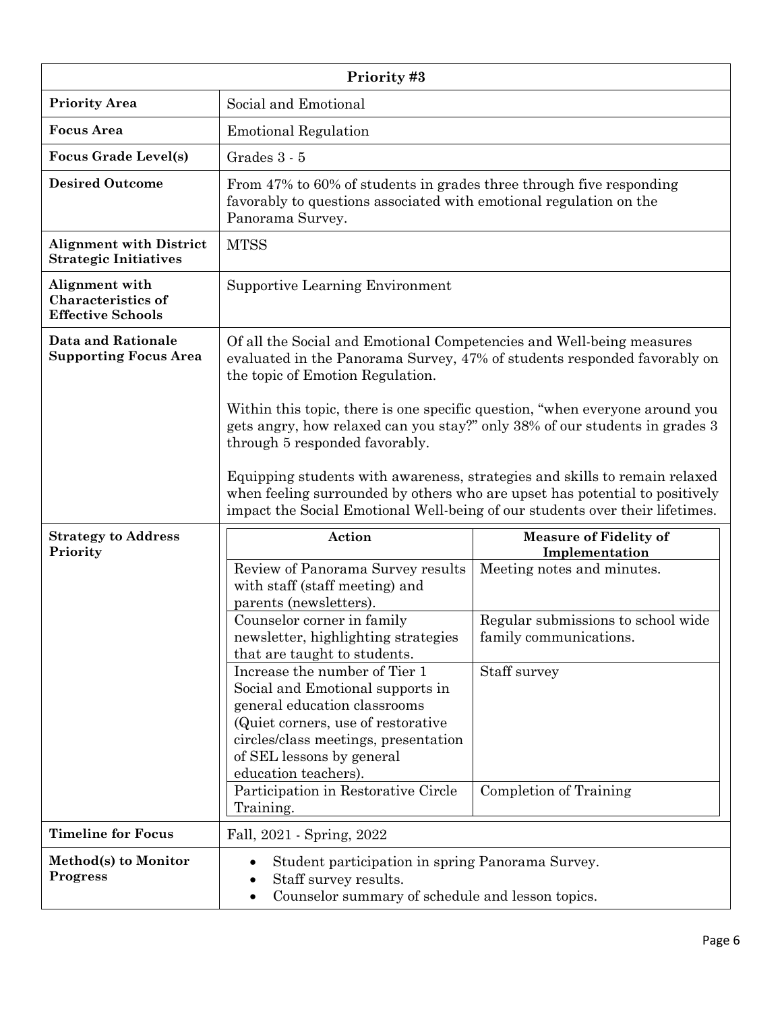| Priority#3                                                              |                                                                                                                                                                                                                                                                                                                                                                                                                                                                                                                                                                                                                                    |                                                                                                                                                                                         |  |
|-------------------------------------------------------------------------|------------------------------------------------------------------------------------------------------------------------------------------------------------------------------------------------------------------------------------------------------------------------------------------------------------------------------------------------------------------------------------------------------------------------------------------------------------------------------------------------------------------------------------------------------------------------------------------------------------------------------------|-----------------------------------------------------------------------------------------------------------------------------------------------------------------------------------------|--|
| <b>Priority Area</b>                                                    | Social and Emotional                                                                                                                                                                                                                                                                                                                                                                                                                                                                                                                                                                                                               |                                                                                                                                                                                         |  |
| <b>Focus Area</b>                                                       | <b>Emotional Regulation</b>                                                                                                                                                                                                                                                                                                                                                                                                                                                                                                                                                                                                        |                                                                                                                                                                                         |  |
| <b>Focus Grade Level(s)</b>                                             | Grades 3 - 5                                                                                                                                                                                                                                                                                                                                                                                                                                                                                                                                                                                                                       |                                                                                                                                                                                         |  |
| <b>Desired Outcome</b>                                                  | From 47% to 60% of students in grades three through five responding<br>favorably to questions associated with emotional regulation on the<br>Panorama Survey.                                                                                                                                                                                                                                                                                                                                                                                                                                                                      |                                                                                                                                                                                         |  |
| <b>Alignment with District</b><br><b>Strategic Initiatives</b>          | <b>MTSS</b>                                                                                                                                                                                                                                                                                                                                                                                                                                                                                                                                                                                                                        |                                                                                                                                                                                         |  |
| Alignment with<br><b>Characteristics of</b><br><b>Effective Schools</b> | <b>Supportive Learning Environment</b>                                                                                                                                                                                                                                                                                                                                                                                                                                                                                                                                                                                             |                                                                                                                                                                                         |  |
| <b>Data and Rationale</b><br><b>Supporting Focus Area</b>               | Of all the Social and Emotional Competencies and Well-being measures<br>evaluated in the Panorama Survey, 47% of students responded favorably on<br>the topic of Emotion Regulation.<br>Within this topic, there is one specific question, "when everyone around you<br>gets angry, how relaxed can you stay?" only 38% of our students in grades 3<br>through 5 responded favorably.<br>Equipping students with awareness, strategies and skills to remain relaxed<br>when feeling surrounded by others who are upset has potential to positively<br>impact the Social Emotional Well-being of our students over their lifetimes. |                                                                                                                                                                                         |  |
| <b>Strategy to Address</b><br>Priority                                  | Action<br>Review of Panorama Survey results<br>with staff (staff meeting) and<br>parents (newsletters).<br>Counselor corner in family<br>newsletter, highlighting strategies<br>that are taught to students.<br>Increase the number of Tier 1<br>Social and Emotional supports in<br>general education classrooms<br>(Quiet corners, use of restorative)<br>circles/class meetings, presentation<br>of SEL lessons by general<br>education teachers).<br>Participation in Restorative Circle<br>Training.                                                                                                                          | <b>Measure of Fidelity of</b><br>Implementation<br>Meeting notes and minutes.<br>Regular submissions to school wide<br>family communications.<br>Staff survey<br>Completion of Training |  |
| <b>Timeline for Focus</b>                                               | Fall, 2021 - Spring, 2022                                                                                                                                                                                                                                                                                                                                                                                                                                                                                                                                                                                                          |                                                                                                                                                                                         |  |
| Method(s) to Monitor<br><b>Progress</b>                                 | Student participation in spring Panorama Survey.<br>Staff survey results.<br>$\bullet$<br>Counselor summary of schedule and lesson topics.<br>٠                                                                                                                                                                                                                                                                                                                                                                                                                                                                                    |                                                                                                                                                                                         |  |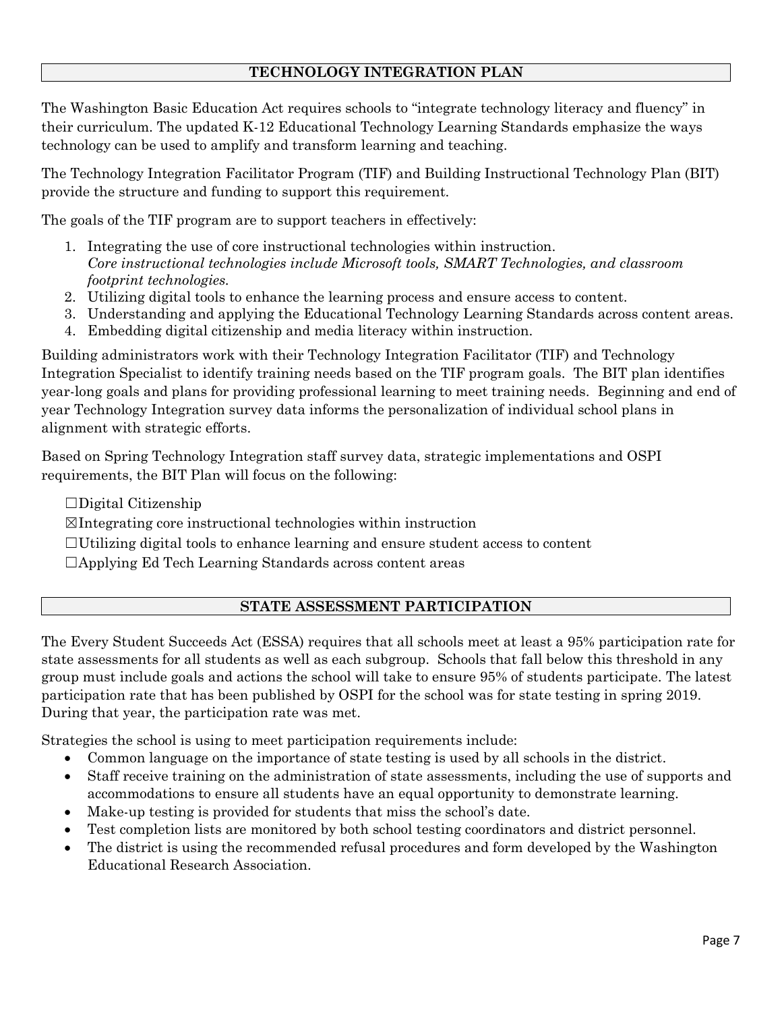### **TECHNOLOGY INTEGRATION PLAN**

The Washington Basic Education Act requires schools to "integrate technology literacy and fluency" in their curriculum. The updated K-12 Educational Technology Learning Standards emphasize the ways technology can be used to amplify and transform learning and teaching.

The Technology Integration Facilitator Program (TIF) and Building Instructional Technology Plan (BIT) provide the structure and funding to support this requirement.

The goals of the TIF program are to support teachers in effectively:

- 1. Integrating the use of core instructional technologies within instruction. *Core instructional technologies include Microsoft tools, SMART Technologies, and classroom footprint technologies.*
- 2. Utilizing digital tools to enhance the learning process and ensure access to content.
- 3. Understanding and applying the Educational Technology Learning Standards across content areas.
- 4. Embedding digital citizenship and media literacy within instruction.

Building administrators work with their Technology Integration Facilitator (TIF) and Technology Integration Specialist to identify training needs based on the TIF program goals. The BIT plan identifies year-long goals and plans for providing professional learning to meet training needs. Beginning and end of year Technology Integration survey data informs the personalization of individual school plans in alignment with strategic efforts.

Based on Spring Technology Integration staff survey data, strategic implementations and OSPI requirements, the BIT Plan will focus on the following:

 $\Box$ Digital Citizenship

- ☒Integrating core instructional technologies within instruction
- $\Box$ Utilizing digital tools to enhance learning and ensure student access to content
- ☐Applying Ed Tech Learning Standards across content areas

#### **STATE ASSESSMENT PARTICIPATION**

The Every Student Succeeds Act (ESSA) requires that all schools meet at least a 95% participation rate for state assessments for all students as well as each subgroup. Schools that fall below this threshold in any group must include goals and actions the school will take to ensure 95% of students participate. The latest participation rate that has been published by OSPI for the school was for state testing in spring 2019. During that year, the participation rate was met.

Strategies the school is using to meet participation requirements include:

- Common language on the importance of state testing is used by all schools in the district.
- Staff receive training on the administration of state assessments, including the use of supports and accommodations to ensure all students have an equal opportunity to demonstrate learning.
- Make-up testing is provided for students that miss the school's date.
- Test completion lists are monitored by both school testing coordinators and district personnel.
- The district is using the recommended refusal procedures and form developed by the Washington Educational Research Association.